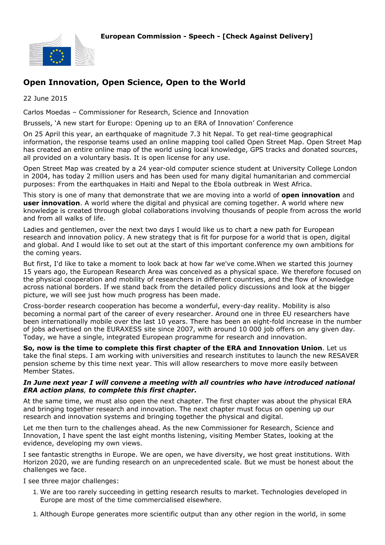

# **Open Innovation, Open Science, Open to the World**

22 June 2015

Carlos Moedas – Commissioner for Research, Science and Innovation

Brussels, 'A new start for Europe: Opening up to an ERA of Innovation' Conference

On 25 April this year, an earthquake of magnitude 7.3 hit Nepal. To get real-time geographical information, the response teams used an online mapping tool called Open Street Map. Open Street Map has created an entire online map of the world using local knowledge, GPS tracks and donated sources, all provided on a voluntary basis. It is open license for any use.

Open Street Map was created by a 24 year-old computer science student at University College London in 2004, has today 2 million users and has been used for many digital humanitarian and commercial purposes: From the earthquakes in Haiti and Nepal to the Ebola outbreak in West Africa.

This story is one of many that demonstrate that we are moving into a world of **open innovation** and **user innovation**. A world where the digital and physical are coming together. A world where new knowledge is created through global collaborations involving thousands of people from across the world and from all walks of life.

Ladies and gentlemen, over the next two days I would like us to chart a new path for European research and innovation policy. A new strategy that is fit for purpose for a world that is open, digital and global. And I would like to set out at the start of this important conference my own ambitions for the coming years.

But first, I'd like to take a moment to look back at how far we've come.When we started this journey 15 years ago, the European Research Area was conceived as a physical space. We therefore focused on the physical cooperation and mobility of researchers in different countries, and the flow of knowledge across national borders. If we stand back from the detailed policy discussions and look at the bigger picture, we will see just how much progress has been made.

Cross-border research cooperation has become a wonderful, every-day reality. Mobility is also becoming a normal part of the career of every researcher. Around one in three EU researchers have been internationally mobile over the last 10 years. There has been an eight-fold increase in the number of jobs advertised on the EURAXESS site since 2007, with around 10 000 job offers on any given day. Today, we have a single, integrated European programme for research and innovation.

**So, now is the time to complete this first chapter of the ERA and Innovation Union**. Let us take the final steps. I am working with universities and research institutes to launch the new RESAVER pension scheme by this time next year. This will allow researchers to move more easily between Member States.

### *In June next year I will convene a meeting with all countries who have introduced national ERA action plans, to complete this first chapter.*

At the same time, we must also open the next chapter. The first chapter was about the physical ERA and bringing together research and innovation. The next chapter must focus on opening up our research and innovation systems and bringing together the physical and digital.

Let me then turn to the challenges ahead. As the new Commissioner for Research, Science and Innovation, I have spent the last eight months listening, visiting Member States, looking at the evidence, developing my own views.

I see fantastic strengths in Europe. We are open, we have diversity, we host great institutions. With Horizon 2020, we are funding research on an unprecedented scale. But we must be honest about the challenges we face.

I see three major challenges:

- 1. We are too rarely succeeding in getting research results to market. Technologies developed in Europe are most of the time commercialised elsewhere.
- 1. Although Europe generates more scientific output than any other region in the world, in some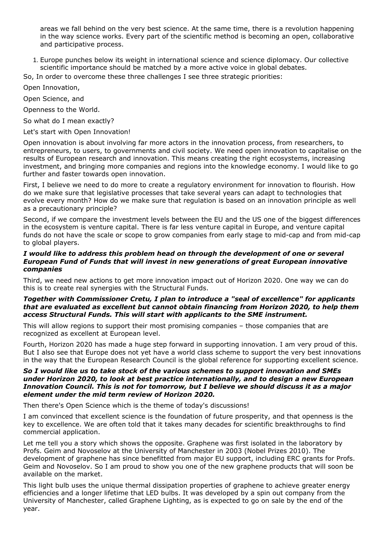areas we fall behind on the very best science. At the same time, there is a revolution happening in the way science works. Every part of the scientific method is becoming an open, collaborative and participative process.

1. Europe punches below its weight in international science and science diplomacy. Our collective scientific importance should be matched by a more active voice in global debates.

So, In order to overcome these three challenges I see three strategic priorities:

Open Innovation,

Open Science, and

Openness to the World.

So what do I mean exactly?

Let's start with Open Innovation!

Open innovation is about involving far more actors in the innovation process, from researchers, to entrepreneurs, to users, to governments and civil society. We need open innovation to capitalise on the results of European research and innovation. This means creating the right ecosystems, increasing investment, and bringing more companies and regions into the knowledge economy. I would like to go further and faster towards open innovation.

First, I believe we need to do more to create a regulatory environment for innovation to flourish. How do we make sure that legislative processes that take several years can adapt to technologies that evolve every month? How do we make sure that regulation is based on an innovation principle as well as a precautionary principle?

Second, if we compare the investment levels between the EU and the US one of the biggest differences in the ecosystem is venture capital. There is far less venture capital in Europe, and venture capital funds do not have the scale or scope to grow companies from early stage to mid-cap and from mid-cap to global players.

### *I would like to address this problem head on through the development of one or several European Fund of Funds that will invest in new generations of great European innovative companies*

Third, we need new actions to get more innovation impact out of Horizon 2020. One way we can do this is to create real synergies with the Structural Funds.

## *Together with Commissioner Cretu, I plan to introduce a "seal of excellence" for applicants that are evaluated as excellent but cannot obtain financing from Horizon 2020, to help them access Structural Funds. This will start with applicants to the SME instrument.*

This will allow regions to support their most promising companies – those companies that are recognized as excellent at European level.

Fourth, Horizon 2020 has made a huge step forward in supporting innovation. I am very proud of this. But I also see that Europe does not yet have a world class scheme to support the very best innovations in the way that the European Research Council is the global reference for supporting excellent science.

## *So I would like us to take stock of the various schemes to support innovation and SMEs under Horizon 2020, to look at best practice internationally, and to design a new European Innovation Council. This is not for tomorrow, but I believe we should discuss it as a major element under the mid term review of Horizon 2020.*

Then there's Open Science which is the theme of today's discussions!

I am convinced that excellent science is the foundation of future prosperity, and that openness is the key to excellence. We are often told that it takes many decades for scientific breakthroughs to find commercial application.

Let me tell you a story which shows the opposite. Graphene was first isolated in the laboratory by Profs. Geim and Novoselov at the University of Manchester in 2003 (Nobel Prizes 2010). The development of graphene has since benefitted from major EU support, including ERC grants for Profs. Geim and Novoselov. So I am proud to show you one of the new graphene products that will soon be available on the market.

This light bulb uses the unique thermal dissipation properties of graphene to achieve greater energy efficiencies and a longer lifetime that LED bulbs. It was developed by a spin out company from the University of Manchester, called Graphene Lighting, as is expected to go on sale by the end of the year.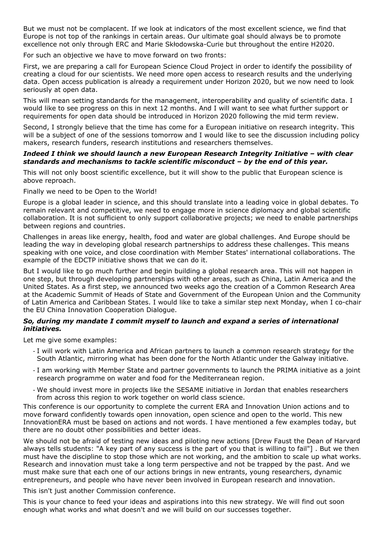But we must not be complacent. If we look at indicators of the most excellent science, we find that Europe is not top of the rankings in certain areas. Our ultimate goal should always be to promote excellence not only through ERC and Marie Skłodowska-Curie but throughout the entire H2020.

For such an objective we have to move forward on two fronts:

First, we are preparing a call for European Science Cloud Project in order to identify the possibility of creating a cloud for our scientists. We need more open access to research results and the underlying data. Open access publication is already a requirement under Horizon 2020, but we now need to look seriously at open data.

This will mean setting standards for the management, interoperability and quality of scientific data. I would like to see progress on this in next 12 months. And I will want to see what further support or requirements for open data should be introduced in Horizon 2020 following the mid term review.

Second, I strongly believe that the time has come for a European initiative on research integrity. This will be a subject of one of the sessions tomorrow and I would like to see the discussion including policy makers, research funders, research institutions and researchers themselves.

### *Indeed I think we should launch a new European Research Integrity Initiative – with clear standards and mechanisms to tackle scientific misconduct – by the end of this year.*

This will not only boost scientific excellence, but it will show to the public that European science is above reproach.

Finally we need to be Open to the World!

Europe is a global leader in science, and this should translate into a leading voice in global debates. To remain relevant and competitive, we need to engage more in science diplomacy and global scientific collaboration. It is not sufficient to only support collaborative projects; we need to enable partnerships between regions and countries.

Challenges in areas like energy, health, food and water are global challenges. And Europe should be leading the way in developing global research partnerships to address these challenges. This means speaking with one voice, and close coordination with Member States' international collaborations. The example of the EDCTP initiative shows that we can do it.

But I would like to go much further and begin building a global research area. This will not happen in one step, but through developing partnerships with other areas, such as China, Latin America and the United States. As a first step, we announced two weeks ago the creation of a Common Research Area at the Academic Summit of Heads of State and Government of the European Union and the Community of Latin America and Caribbean States. I would like to take a similar step next Monday, when I co-chair the EU China Innovation Cooperation Dialogue.

## *So, during my mandate I commit myself to launch and expand a series of international initiatives.*

Let me give some examples:

- I will work with Latin America and African partners to launch a common research strategy for the South Atlantic, mirroring what has been done for the North Atlantic under the Galway initiative.
- I am working with Member State and partner governments to launch the PRIMA initiative as a joint research programme on water and food for the Mediterranean region.
- We should invest more in projects like the SESAME initiative in Jordan that enables researchers from across this region to work together on world class science.

This conference is our opportunity to complete the current ERA and Innovation Union actions and to move forward confidently towards open innovation, open science and open to the world. This new InnovationERA must be based on actions and not words. I have mentioned a few examples today, but there are no doubt other possibilities and better ideas.

We should not be afraid of testing new ideas and piloting new actions [Drew Faust the Dean of Harvard always tells students: "A key part of any success is the part of you that is willing to fail"] . But we then must have the discipline to stop those which are not working, and the ambition to scale up what works. Research and innovation must take a long term perspective and not be trapped by the past. And we must make sure that each one of our actions brings in new entrants, young researchers, dynamic entrepreneurs, and people who have never been involved in European research and innovation.

This isn't just another Commission conference.

This is your chance to feed your ideas and aspirations into this new strategy. We will find out soon enough what works and what doesn't and we will build on our successes together.